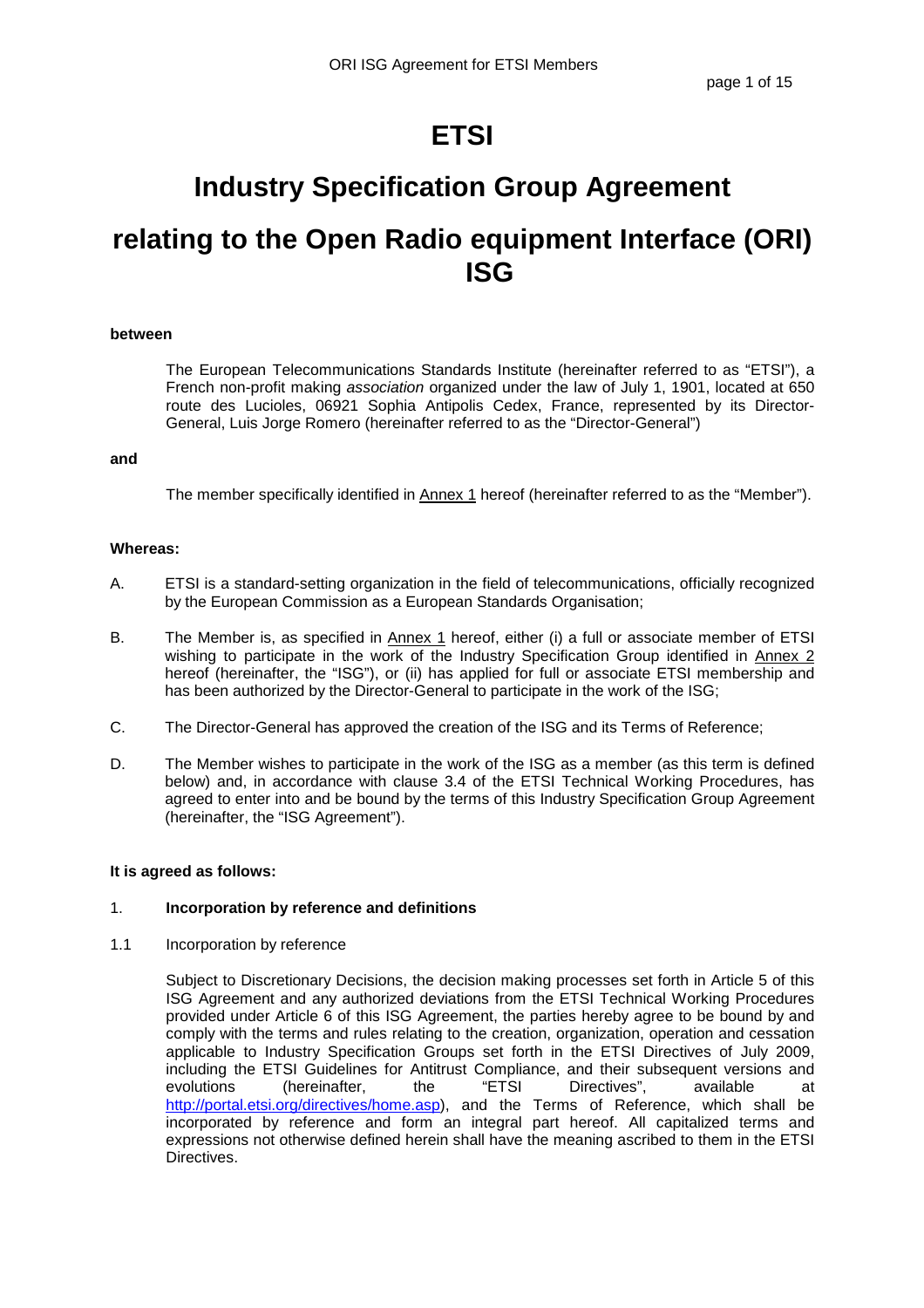# **ETSI**

# **Industry Specification Group Agreement**

# **relating to the Open Radio equipment Interface (ORI) ISG**

#### **between**

The European Telecommunications Standards Institute (hereinafter referred to as "ETSI"), a French non-profit making association organized under the law of July 1, 1901, located at 650 route des Lucioles, 06921 Sophia Antipolis Cedex, France, represented by its Director-General, Luis Jorge Romero (hereinafter referred to as the "Director-General")

## **and**

The member specifically identified in Annex 1 hereof (hereinafter referred to as the "Member").

## **Whereas:**

- A. ETSI is a standard-setting organization in the field of telecommunications, officially recognized by the European Commission as a European Standards Organisation;
- B. The Member is, as specified in Annex 1 hereof, either (i) a full or associate member of ETSI wishing to participate in the work of the Industry Specification Group identified in Annex 2 hereof (hereinafter, the "ISG"), or (ii) has applied for full or associate ETSI membership and has been authorized by the Director-General to participate in the work of the ISG;
- C. The Director-General has approved the creation of the ISG and its Terms of Reference;
- D. The Member wishes to participate in the work of the ISG as a member (as this term is defined below) and, in accordance with clause 3.4 of the ETSI Technical Working Procedures, has agreed to enter into and be bound by the terms of this Industry Specification Group Agreement (hereinafter, the "ISG Agreement").

#### **It is agreed as follows:**

# 1. **Incorporation by reference and definitions**

1.1 Incorporation by reference

Subject to Discretionary Decisions, the decision making processes set forth in Article 5 of this ISG Agreement and any authorized deviations from the ETSI Technical Working Procedures provided under Article 6 of this ISG Agreement, the parties hereby agree to be bound by and comply with the terms and rules relating to the creation, organization, operation and cessation applicable to Industry Specification Groups set forth in the ETSI Directives of July 2009, including the ETSI Guidelines for Antitrust Compliance, and their subsequent versions and<br>evolutions (hereinafter. the "ETSI Directives", available at evolutions (hereinafter, the "ETSI Directives", available at http://portal.etsi.org/directives/home.asp), and the Terms of Reference, which shall be incorporated by reference and form an integral part hereof. All capitalized terms and expressions not otherwise defined herein shall have the meaning ascribed to them in the ETSI Directives.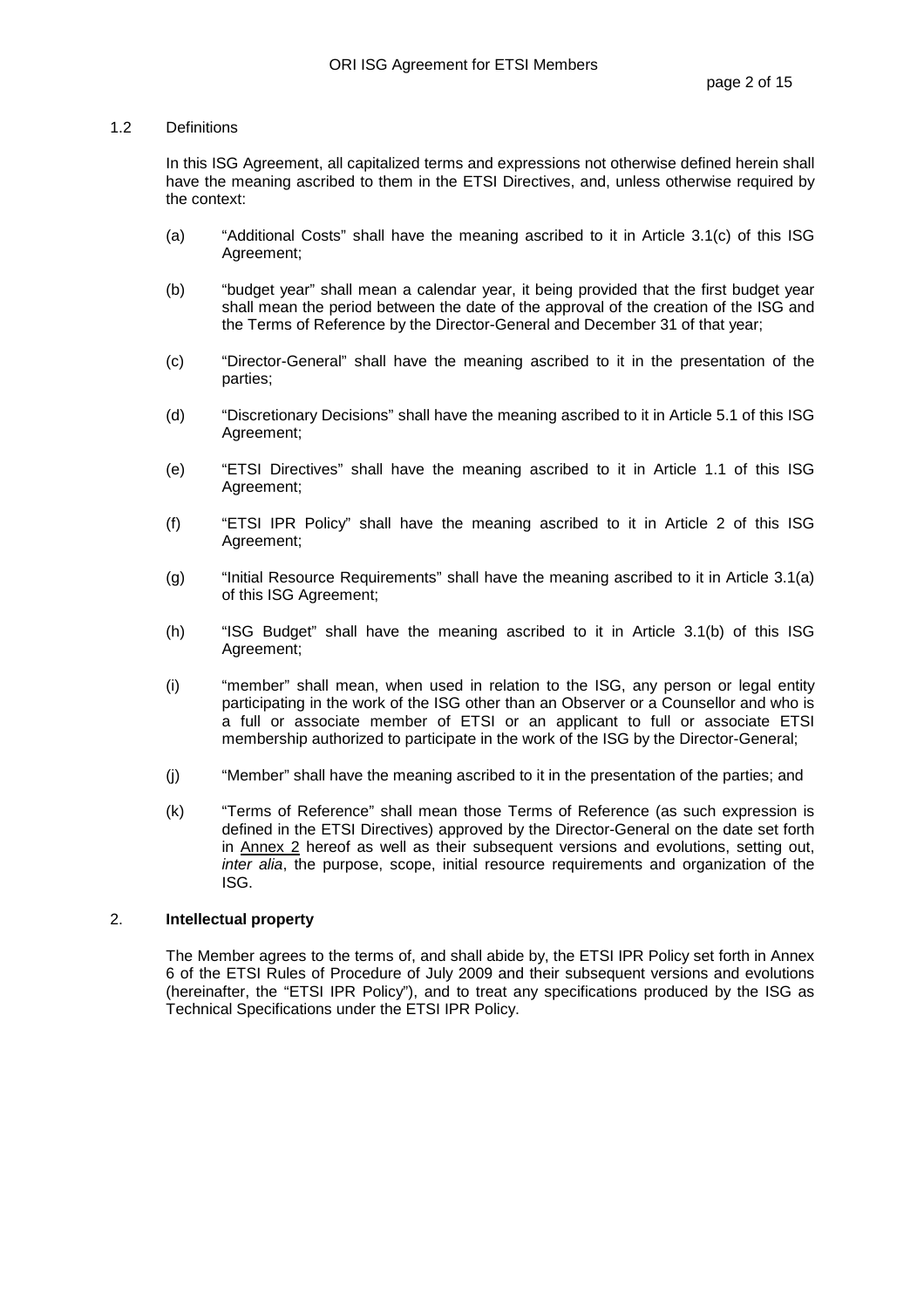## 1.2 Definitions

In this ISG Agreement, all capitalized terms and expressions not otherwise defined herein shall have the meaning ascribed to them in the ETSI Directives, and, unless otherwise required by the context:

- (a) "Additional Costs" shall have the meaning ascribed to it in Article 3.1(c) of this ISG Agreement;
- (b) "budget year" shall mean a calendar year, it being provided that the first budget year shall mean the period between the date of the approval of the creation of the ISG and the Terms of Reference by the Director-General and December 31 of that year;
- (c) "Director-General" shall have the meaning ascribed to it in the presentation of the parties;
- (d) "Discretionary Decisions" shall have the meaning ascribed to it in Article 5.1 of this ISG Agreement;
- (e) "ETSI Directives" shall have the meaning ascribed to it in Article 1.1 of this ISG Agreement;
- (f) "ETSI IPR Policy" shall have the meaning ascribed to it in Article 2 of this ISG Agreement;
- (g) "Initial Resource Requirements" shall have the meaning ascribed to it in Article 3.1(a) of this ISG Agreement;
- (h) "ISG Budget" shall have the meaning ascribed to it in Article 3.1(b) of this ISG Agreement;
- (i) "member" shall mean, when used in relation to the ISG, any person or legal entity participating in the work of the ISG other than an Observer or a Counsellor and who is a full or associate member of ETSI or an applicant to full or associate ETSI membership authorized to participate in the work of the ISG by the Director-General;
- (j) "Member" shall have the meaning ascribed to it in the presentation of the parties; and
- (k) "Terms of Reference" shall mean those Terms of Reference (as such expression is defined in the ETSI Directives) approved by the Director-General on the date set forth in Annex 2 hereof as well as their subsequent versions and evolutions, setting out, inter alia, the purpose, scope, initial resource requirements and organization of the ISG.

#### 2. **Intellectual property**

The Member agrees to the terms of, and shall abide by, the ETSI IPR Policy set forth in Annex 6 of the ETSI Rules of Procedure of July 2009 and their subsequent versions and evolutions (hereinafter, the "ETSI IPR Policy"), and to treat any specifications produced by the ISG as Technical Specifications under the ETSI IPR Policy.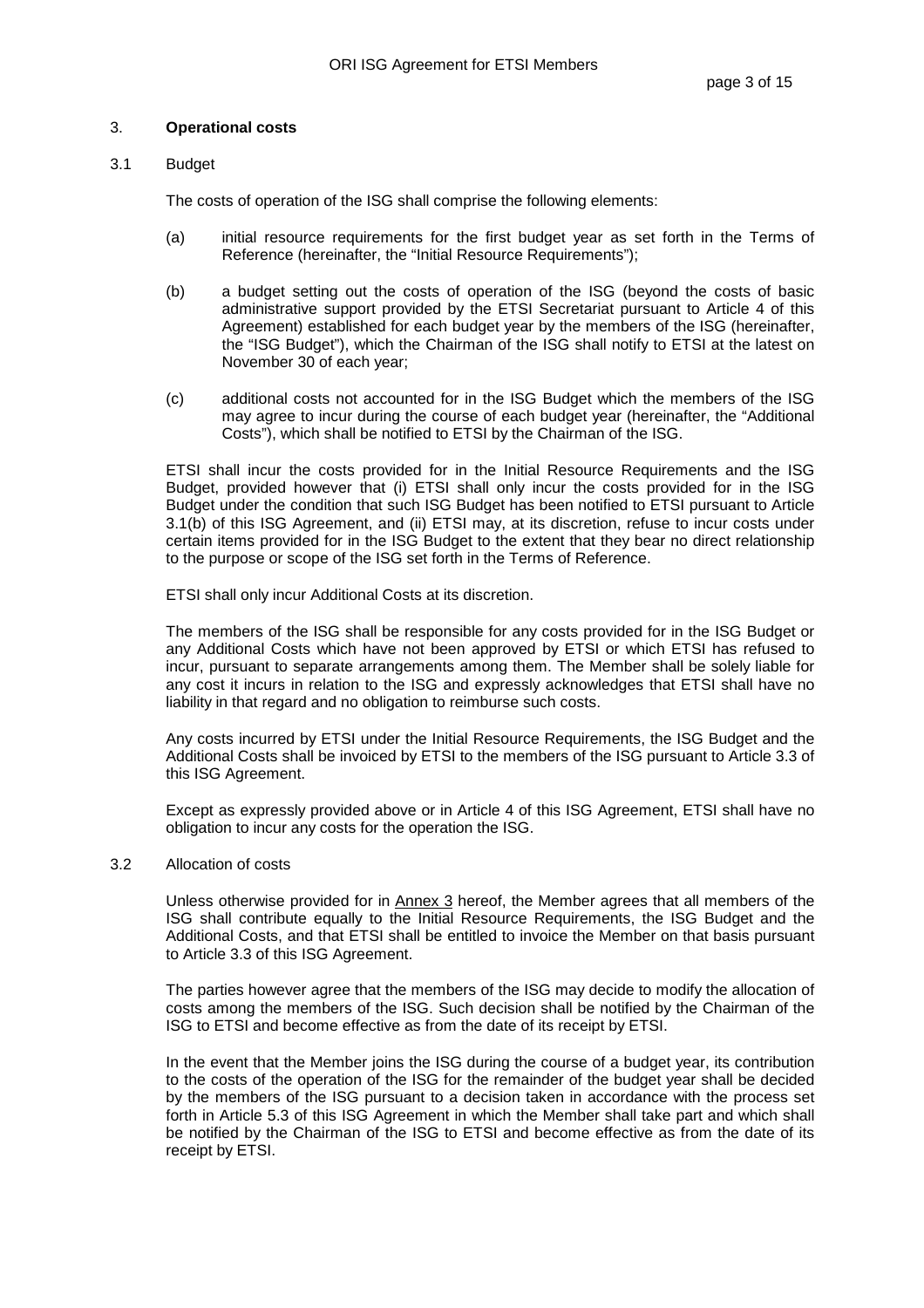#### 3. **Operational costs**

#### 3.1 Budget

The costs of operation of the ISG shall comprise the following elements:

- (a) initial resource requirements for the first budget year as set forth in the Terms of Reference (hereinafter, the "Initial Resource Requirements");
- (b) a budget setting out the costs of operation of the ISG (beyond the costs of basic administrative support provided by the ETSI Secretariat pursuant to Article 4 of this Agreement) established for each budget year by the members of the ISG (hereinafter, the "ISG Budget"), which the Chairman of the ISG shall notify to ETSI at the latest on November 30 of each year;
- (c) additional costs not accounted for in the ISG Budget which the members of the ISG may agree to incur during the course of each budget year (hereinafter, the "Additional Costs"), which shall be notified to ETSI by the Chairman of the ISG.

ETSI shall incur the costs provided for in the Initial Resource Requirements and the ISG Budget, provided however that (i) ETSI shall only incur the costs provided for in the ISG Budget under the condition that such ISG Budget has been notified to ETSI pursuant to Article 3.1(b) of this ISG Agreement, and (ii) ETSI may, at its discretion, refuse to incur costs under certain items provided for in the ISG Budget to the extent that they bear no direct relationship to the purpose or scope of the ISG set forth in the Terms of Reference.

ETSI shall only incur Additional Costs at its discretion.

The members of the ISG shall be responsible for any costs provided for in the ISG Budget or any Additional Costs which have not been approved by ETSI or which ETSI has refused to incur, pursuant to separate arrangements among them. The Member shall be solely liable for any cost it incurs in relation to the ISG and expressly acknowledges that ETSI shall have no liability in that regard and no obligation to reimburse such costs.

Any costs incurred by ETSI under the Initial Resource Requirements, the ISG Budget and the Additional Costs shall be invoiced by ETSI to the members of the ISG pursuant to Article 3.3 of this ISG Agreement.

Except as expressly provided above or in Article 4 of this ISG Agreement, ETSI shall have no obligation to incur any costs for the operation the ISG.

#### 3.2 Allocation of costs

Unless otherwise provided for in Annex 3 hereof, the Member agrees that all members of the ISG shall contribute equally to the Initial Resource Requirements, the ISG Budget and the Additional Costs, and that ETSI shall be entitled to invoice the Member on that basis pursuant to Article 3.3 of this ISG Agreement.

The parties however agree that the members of the ISG may decide to modify the allocation of costs among the members of the ISG. Such decision shall be notified by the Chairman of the ISG to ETSI and become effective as from the date of its receipt by ETSI.

In the event that the Member joins the ISG during the course of a budget year, its contribution to the costs of the operation of the ISG for the remainder of the budget year shall be decided by the members of the ISG pursuant to a decision taken in accordance with the process set forth in Article 5.3 of this ISG Agreement in which the Member shall take part and which shall be notified by the Chairman of the ISG to ETSI and become effective as from the date of its receipt by ETSI.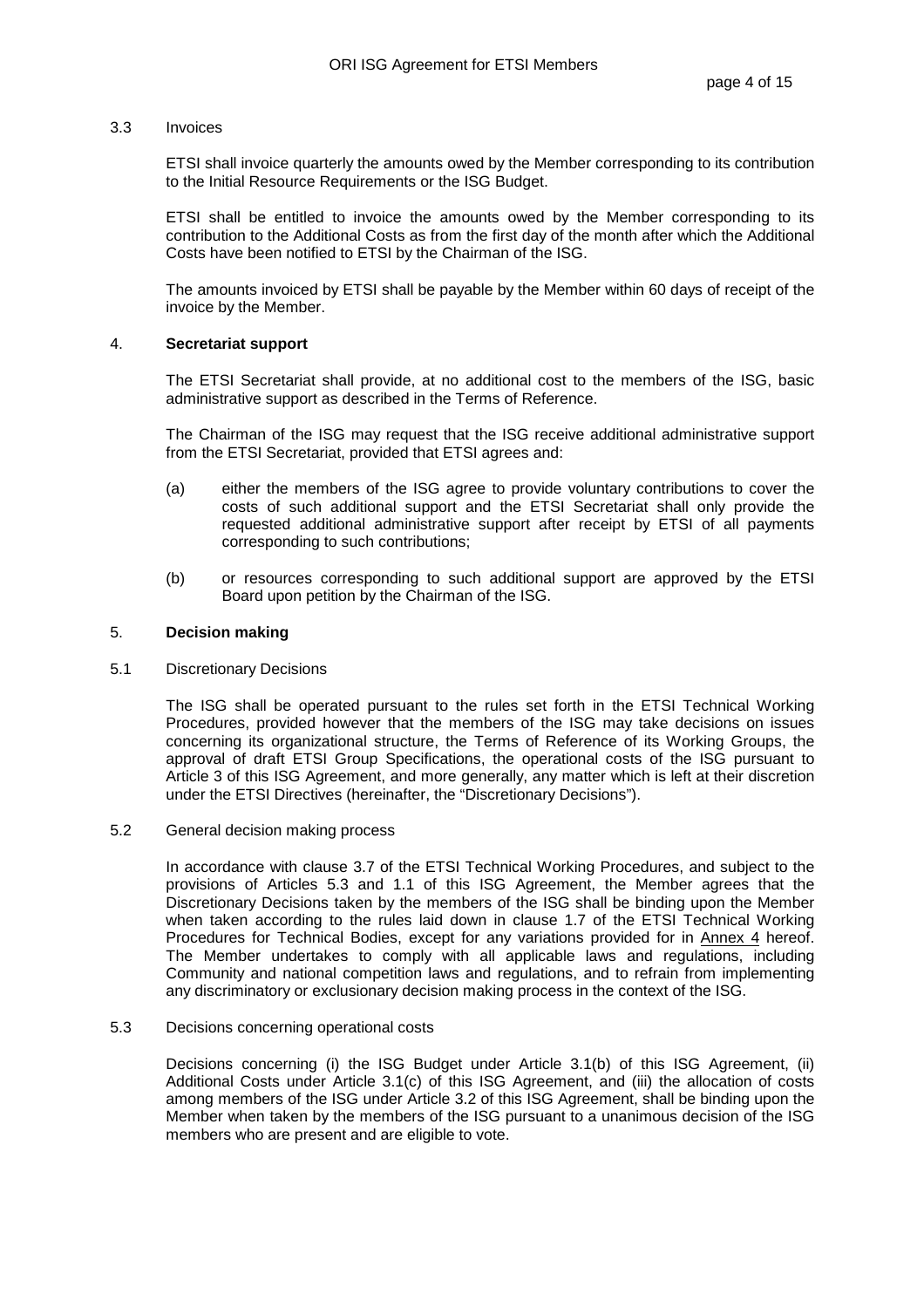#### 3.3 Invoices

ETSI shall invoice quarterly the amounts owed by the Member corresponding to its contribution to the Initial Resource Requirements or the ISG Budget.

ETSI shall be entitled to invoice the amounts owed by the Member corresponding to its contribution to the Additional Costs as from the first day of the month after which the Additional Costs have been notified to ETSI by the Chairman of the ISG.

The amounts invoiced by ETSI shall be payable by the Member within 60 days of receipt of the invoice by the Member.

#### 4. **Secretariat support**

The ETSI Secretariat shall provide, at no additional cost to the members of the ISG, basic administrative support as described in the Terms of Reference.

The Chairman of the ISG may request that the ISG receive additional administrative support from the ETSI Secretariat, provided that ETSI agrees and:

- (a) either the members of the ISG agree to provide voluntary contributions to cover the costs of such additional support and the ETSI Secretariat shall only provide the requested additional administrative support after receipt by ETSI of all payments corresponding to such contributions;
- (b) or resources corresponding to such additional support are approved by the ETSI Board upon petition by the Chairman of the ISG.

#### 5. **Decision making**

5.1 Discretionary Decisions

The ISG shall be operated pursuant to the rules set forth in the ETSI Technical Working Procedures, provided however that the members of the ISG may take decisions on issues concerning its organizational structure, the Terms of Reference of its Working Groups, the approval of draft ETSI Group Specifications, the operational costs of the ISG pursuant to Article 3 of this ISG Agreement, and more generally, any matter which is left at their discretion under the ETSI Directives (hereinafter, the "Discretionary Decisions").

#### 5.2 General decision making process

In accordance with clause 3.7 of the ETSI Technical Working Procedures, and subject to the provisions of Articles 5.3 and 1.1 of this ISG Agreement, the Member agrees that the Discretionary Decisions taken by the members of the ISG shall be binding upon the Member when taken according to the rules laid down in clause 1.7 of the ETSI Technical Working Procedures for Technical Bodies, except for any variations provided for in Annex 4 hereof. The Member undertakes to comply with all applicable laws and regulations, including Community and national competition laws and regulations, and to refrain from implementing any discriminatory or exclusionary decision making process in the context of the ISG.

#### 5.3 Decisions concerning operational costs

Decisions concerning (i) the ISG Budget under Article 3.1(b) of this ISG Agreement, (ii) Additional Costs under Article 3.1(c) of this ISG Agreement, and (iii) the allocation of costs among members of the ISG under Article 3.2 of this ISG Agreement, shall be binding upon the Member when taken by the members of the ISG pursuant to a unanimous decision of the ISG members who are present and are eligible to vote.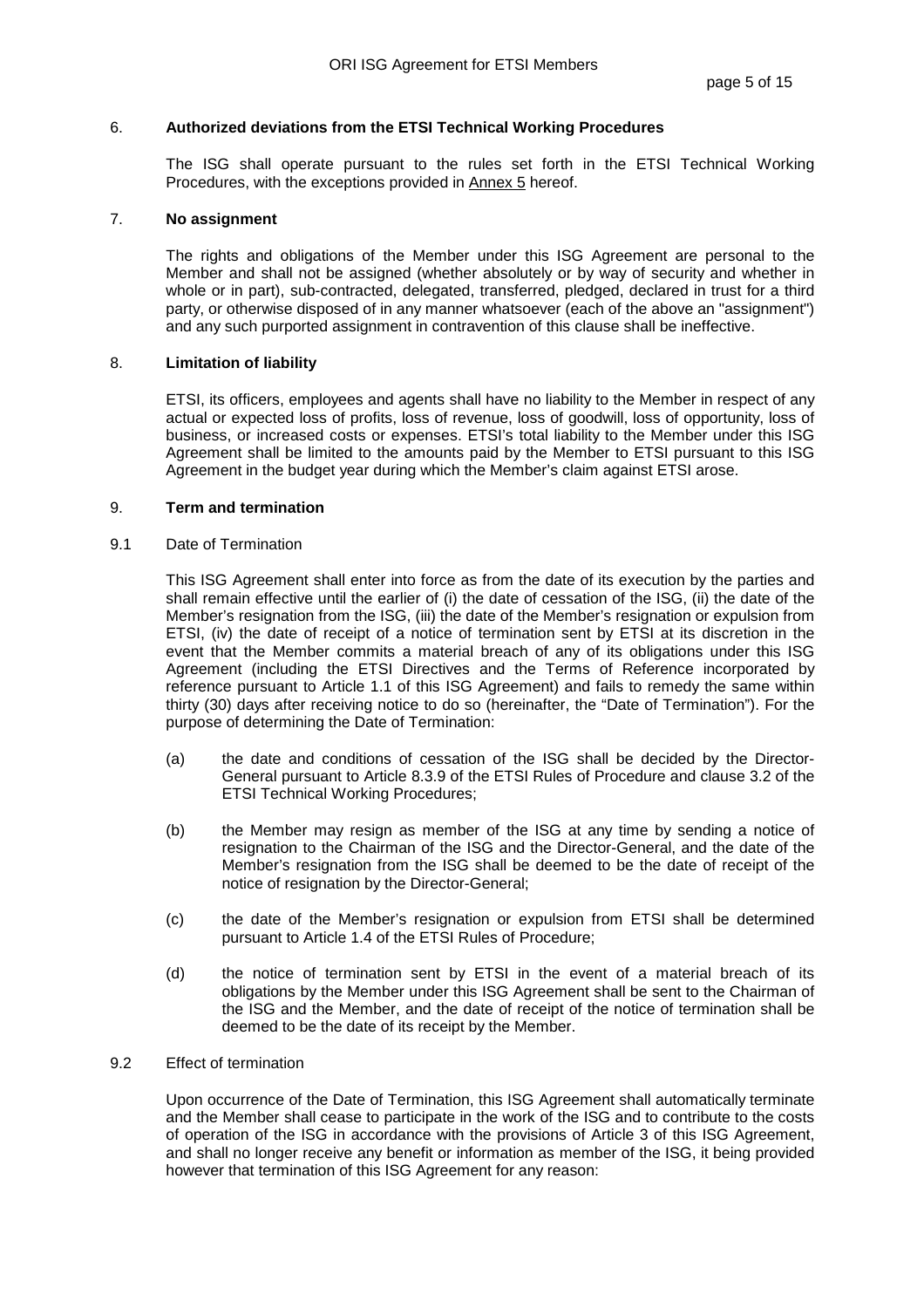## 6. **Authorized deviations from the ETSI Technical Working Procedures**

The ISG shall operate pursuant to the rules set forth in the ETSI Technical Working Procedures, with the exceptions provided in Annex 5 hereof.

#### 7. **No assignment**

The rights and obligations of the Member under this ISG Agreement are personal to the Member and shall not be assigned (whether absolutely or by way of security and whether in whole or in part), sub-contracted, delegated, transferred, pledged, declared in trust for a third party, or otherwise disposed of in any manner whatsoever (each of the above an "assignment") and any such purported assignment in contravention of this clause shall be ineffective.

## 8. **Limitation of liability**

ETSI, its officers, employees and agents shall have no liability to the Member in respect of any actual or expected loss of profits, loss of revenue, loss of goodwill, loss of opportunity, loss of business, or increased costs or expenses. ETSI's total liability to the Member under this ISG Agreement shall be limited to the amounts paid by the Member to ETSI pursuant to this ISG Agreement in the budget year during which the Member's claim against ETSI arose.

## 9. **Term and termination**

#### 9.1 Date of Termination

This ISG Agreement shall enter into force as from the date of its execution by the parties and shall remain effective until the earlier of (i) the date of cessation of the ISG, (ii) the date of the Member's resignation from the ISG, (iii) the date of the Member's resignation or expulsion from ETSI, (iv) the date of receipt of a notice of termination sent by ETSI at its discretion in the event that the Member commits a material breach of any of its obligations under this ISG Agreement (including the ETSI Directives and the Terms of Reference incorporated by reference pursuant to Article 1.1 of this ISG Agreement) and fails to remedy the same within thirty (30) days after receiving notice to do so (hereinafter, the "Date of Termination"). For the purpose of determining the Date of Termination:

- (a) the date and conditions of cessation of the ISG shall be decided by the Director-General pursuant to Article 8.3.9 of the ETSI Rules of Procedure and clause 3.2 of the ETSI Technical Working Procedures;
- (b) the Member may resign as member of the ISG at any time by sending a notice of resignation to the Chairman of the ISG and the Director-General, and the date of the Member's resignation from the ISG shall be deemed to be the date of receipt of the notice of resignation by the Director-General;
- (c) the date of the Member's resignation or expulsion from ETSI shall be determined pursuant to Article 1.4 of the ETSI Rules of Procedure;
- (d) the notice of termination sent by ETSI in the event of a material breach of its obligations by the Member under this ISG Agreement shall be sent to the Chairman of the ISG and the Member, and the date of receipt of the notice of termination shall be deemed to be the date of its receipt by the Member.

#### 9.2 Effect of termination

Upon occurrence of the Date of Termination, this ISG Agreement shall automatically terminate and the Member shall cease to participate in the work of the ISG and to contribute to the costs of operation of the ISG in accordance with the provisions of Article 3 of this ISG Agreement, and shall no longer receive any benefit or information as member of the ISG, it being provided however that termination of this ISG Agreement for any reason: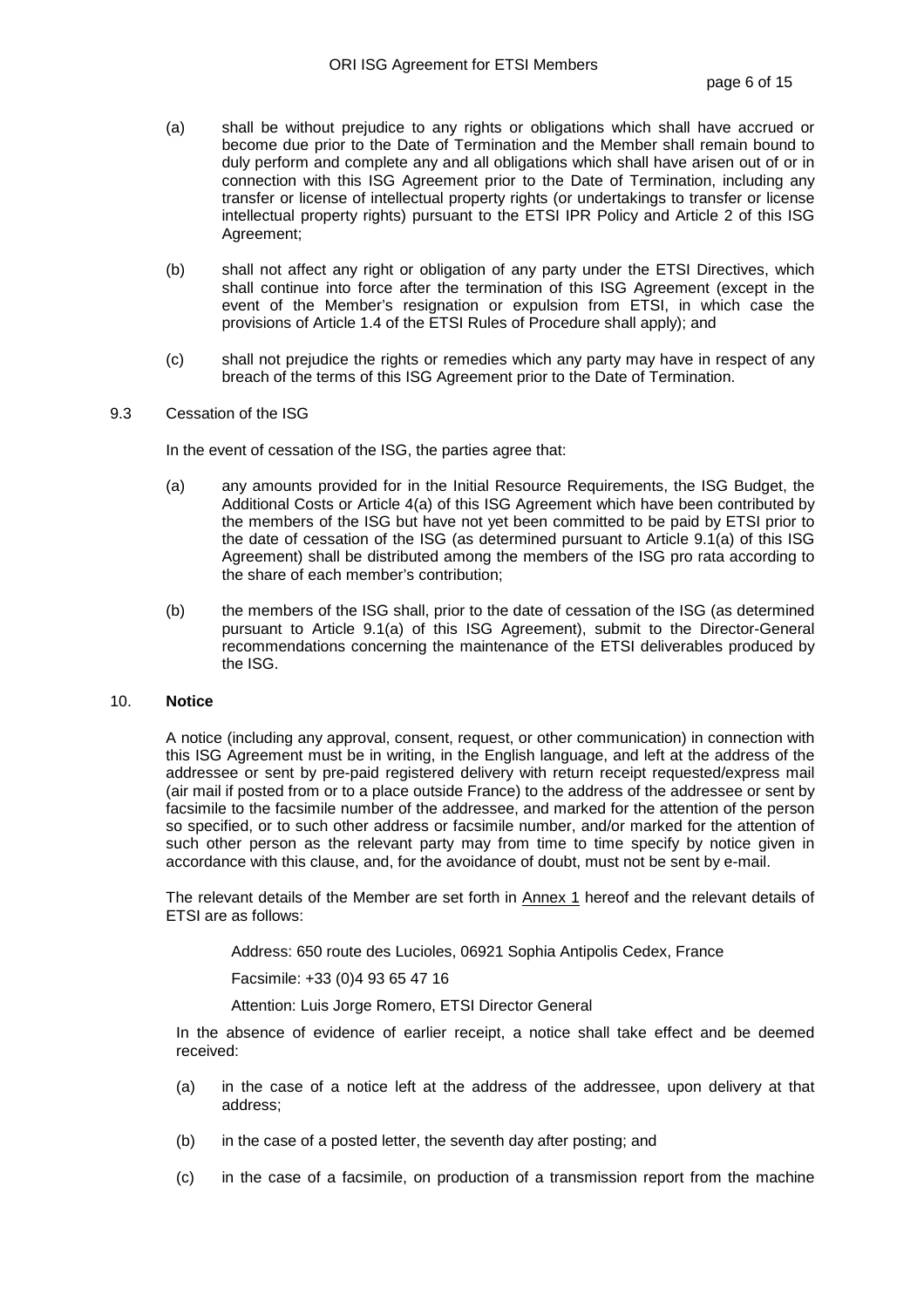- (a) shall be without prejudice to any rights or obligations which shall have accrued or become due prior to the Date of Termination and the Member shall remain bound to duly perform and complete any and all obligations which shall have arisen out of or in connection with this ISG Agreement prior to the Date of Termination, including any transfer or license of intellectual property rights (or undertakings to transfer or license intellectual property rights) pursuant to the ETSI IPR Policy and Article 2 of this ISG Agreement;
- (b) shall not affect any right or obligation of any party under the ETSI Directives, which shall continue into force after the termination of this ISG Agreement (except in the event of the Member's resignation or expulsion from ETSI, in which case the provisions of Article 1.4 of the ETSI Rules of Procedure shall apply); and
- (c) shall not prejudice the rights or remedies which any party may have in respect of any breach of the terms of this ISG Agreement prior to the Date of Termination.
- 9.3 Cessation of the ISG

In the event of cessation of the ISG, the parties agree that:

- (a) any amounts provided for in the Initial Resource Requirements, the ISG Budget, the Additional Costs or Article 4(a) of this ISG Agreement which have been contributed by the members of the ISG but have not yet been committed to be paid by ETSI prior to the date of cessation of the ISG (as determined pursuant to Article 9.1(a) of this ISG Agreement) shall be distributed among the members of the ISG pro rata according to the share of each member's contribution;
- (b) the members of the ISG shall, prior to the date of cessation of the ISG (as determined pursuant to Article 9.1(a) of this ISG Agreement), submit to the Director-General recommendations concerning the maintenance of the ETSI deliverables produced by the ISG.

#### 10. **Notice**

A notice (including any approval, consent, request, or other communication) in connection with this ISG Agreement must be in writing, in the English language, and left at the address of the addressee or sent by pre-paid registered delivery with return receipt requested/express mail (air mail if posted from or to a place outside France) to the address of the addressee or sent by facsimile to the facsimile number of the addressee, and marked for the attention of the person so specified, or to such other address or facsimile number, and/or marked for the attention of such other person as the relevant party may from time to time specify by notice given in accordance with this clause, and, for the avoidance of doubt, must not be sent by e-mail.

The relevant details of the Member are set forth in Annex 1 hereof and the relevant details of ETSI are as follows:

Address: 650 route des Lucioles, 06921 Sophia Antipolis Cedex, France

Facsimile: +33 (0)4 93 65 47 16

Attention: Luis Jorge Romero, ETSI Director General

 In the absence of evidence of earlier receipt, a notice shall take effect and be deemed received:

- (a) in the case of a notice left at the address of the addressee, upon delivery at that address;
- (b) in the case of a posted letter, the seventh day after posting; and
- (c) in the case of a facsimile, on production of a transmission report from the machine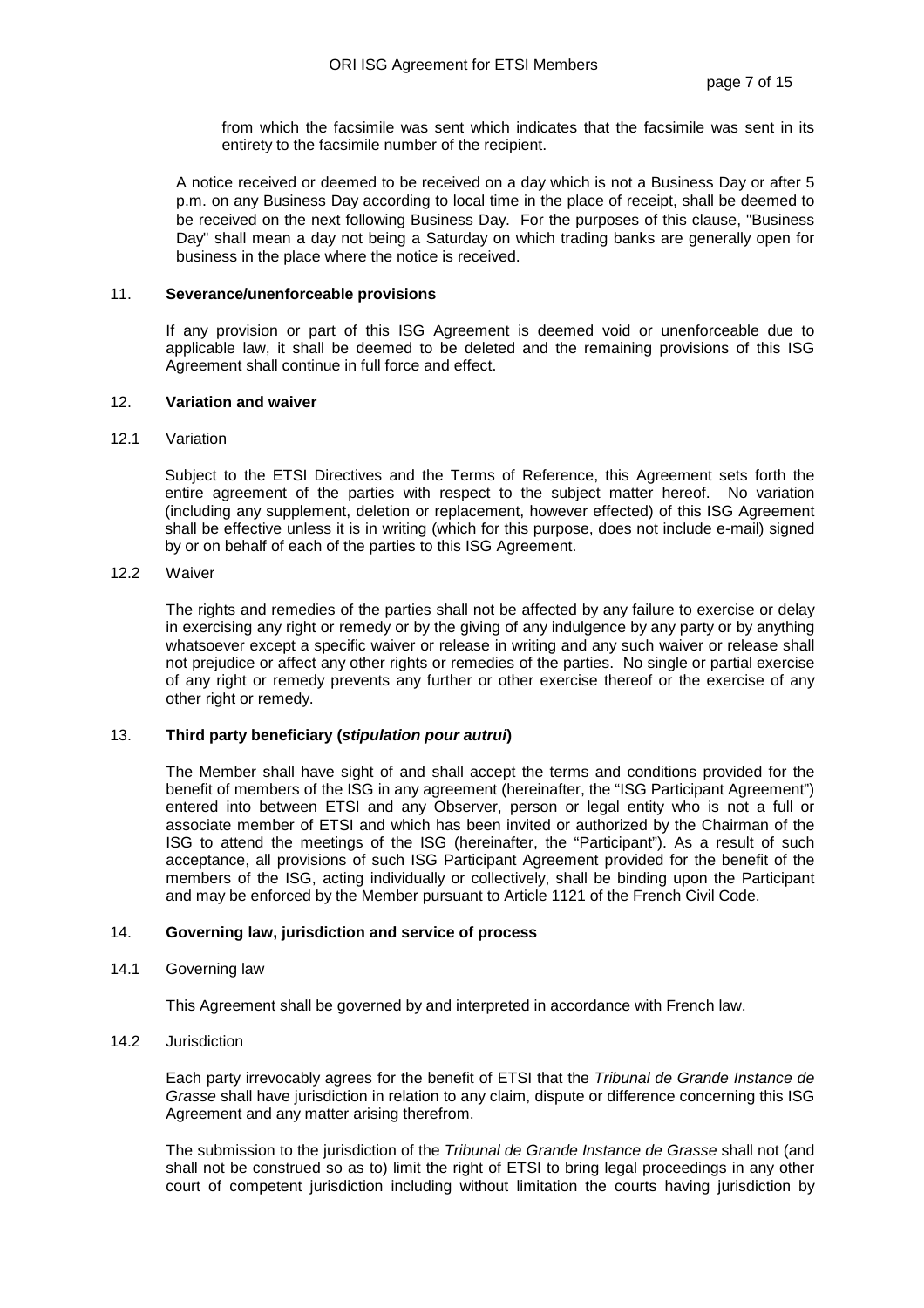from which the facsimile was sent which indicates that the facsimile was sent in its entirety to the facsimile number of the recipient.

 A notice received or deemed to be received on a day which is not a Business Day or after 5 p.m. on any Business Day according to local time in the place of receipt, shall be deemed to be received on the next following Business Day. For the purposes of this clause, "Business Day" shall mean a day not being a Saturday on which trading banks are generally open for business in the place where the notice is received.

#### 11. **Severance/unenforceable provisions**

If any provision or part of this ISG Agreement is deemed void or unenforceable due to applicable law, it shall be deemed to be deleted and the remaining provisions of this ISG Agreement shall continue in full force and effect.

#### 12. **Variation and waiver**

#### 12.1 Variation

Subject to the ETSI Directives and the Terms of Reference, this Agreement sets forth the entire agreement of the parties with respect to the subject matter hereof. No variation (including any supplement, deletion or replacement, however effected) of this ISG Agreement shall be effective unless it is in writing (which for this purpose, does not include e-mail) signed by or on behalf of each of the parties to this ISG Agreement.

## 12.2 Waiver

The rights and remedies of the parties shall not be affected by any failure to exercise or delay in exercising any right or remedy or by the giving of any indulgence by any party or by anything whatsoever except a specific waiver or release in writing and any such waiver or release shall not prejudice or affect any other rights or remedies of the parties. No single or partial exercise of any right or remedy prevents any further or other exercise thereof or the exercise of any other right or remedy.

#### 13. **Third party beneficiary (stipulation pour autrui)**

The Member shall have sight of and shall accept the terms and conditions provided for the benefit of members of the ISG in any agreement (hereinafter, the "ISG Participant Agreement") entered into between ETSI and any Observer, person or legal entity who is not a full or associate member of ETSI and which has been invited or authorized by the Chairman of the ISG to attend the meetings of the ISG (hereinafter, the "Participant"). As a result of such acceptance, all provisions of such ISG Participant Agreement provided for the benefit of the members of the ISG, acting individually or collectively, shall be binding upon the Participant and may be enforced by the Member pursuant to Article 1121 of the French Civil Code.

#### 14. **Governing law, jurisdiction and service of process**

#### 14.1 Governing law

This Agreement shall be governed by and interpreted in accordance with French law.

#### 14.2 Jurisdiction

Each party irrevocably agrees for the benefit of ETSI that the Tribunal de Grande Instance de Grasse shall have jurisdiction in relation to any claim, dispute or difference concerning this ISG Agreement and any matter arising therefrom.

The submission to the jurisdiction of the Tribunal de Grande Instance de Grasse shall not (and shall not be construed so as to) limit the right of ETSI to bring legal proceedings in any other court of competent jurisdiction including without limitation the courts having jurisdiction by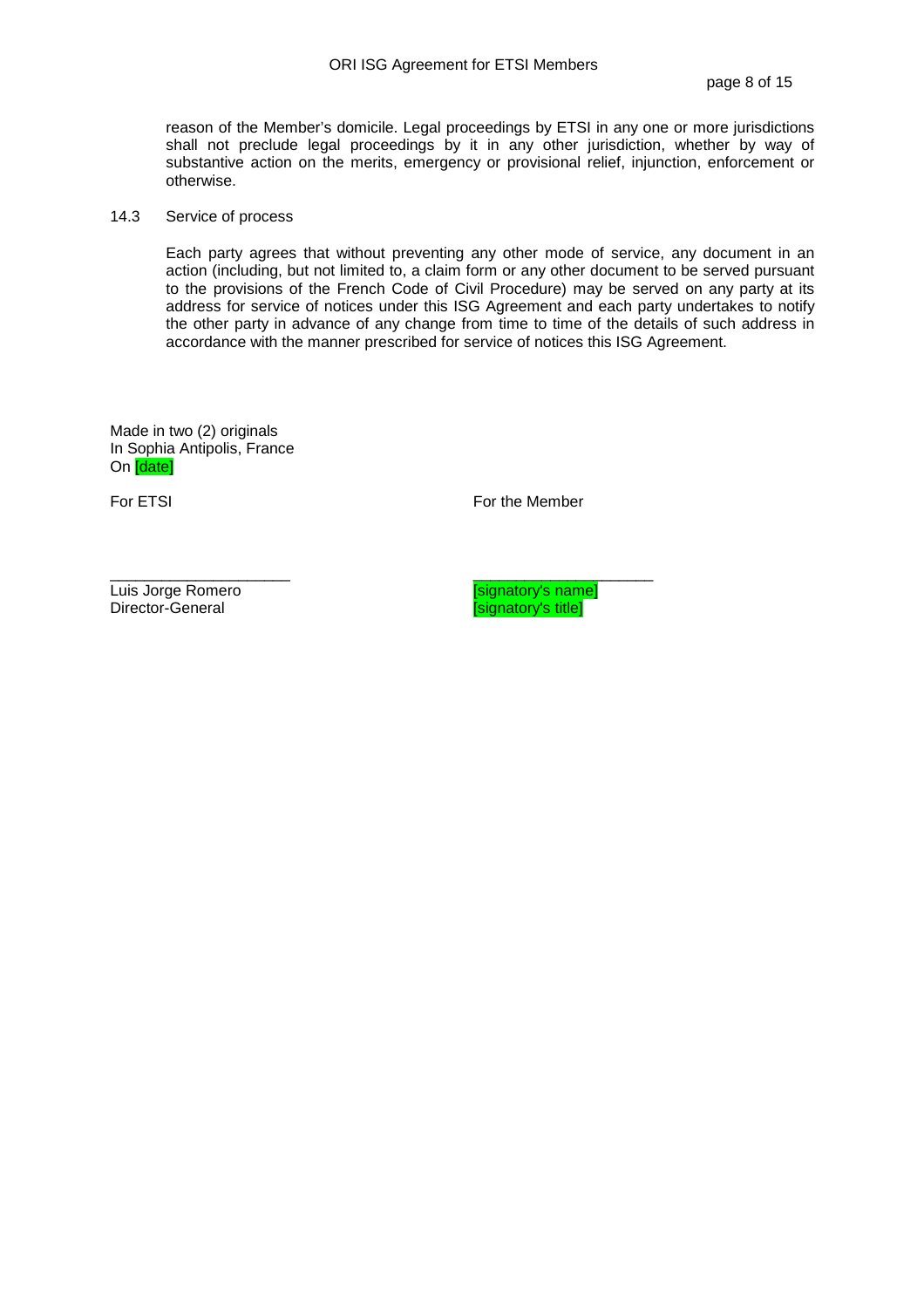reason of the Member's domicile. Legal proceedings by ETSI in any one or more jurisdictions shall not preclude legal proceedings by it in any other jurisdiction, whether by way of substantive action on the merits, emergency or provisional relief, injunction, enforcement or otherwise.

#### 14.3 Service of process

Each party agrees that without preventing any other mode of service, any document in an action (including, but not limited to, a claim form or any other document to be served pursuant to the provisions of the French Code of Civil Procedure) may be served on any party at its address for service of notices under this ISG Agreement and each party undertakes to notify the other party in advance of any change from time to time of the details of such address in accordance with the manner prescribed for service of notices this ISG Agreement.

Made in two (2) originals In Sophia Antipolis, France On [date]

For ETSI For the Member

\_\_\_\_\_\_\_\_\_\_\_\_\_\_\_\_\_\_\_\_\_ \_\_\_\_\_\_\_\_\_\_\_\_\_\_\_\_\_\_\_\_\_

Luis Jorge Romero [signatory's name]

isignatory's title]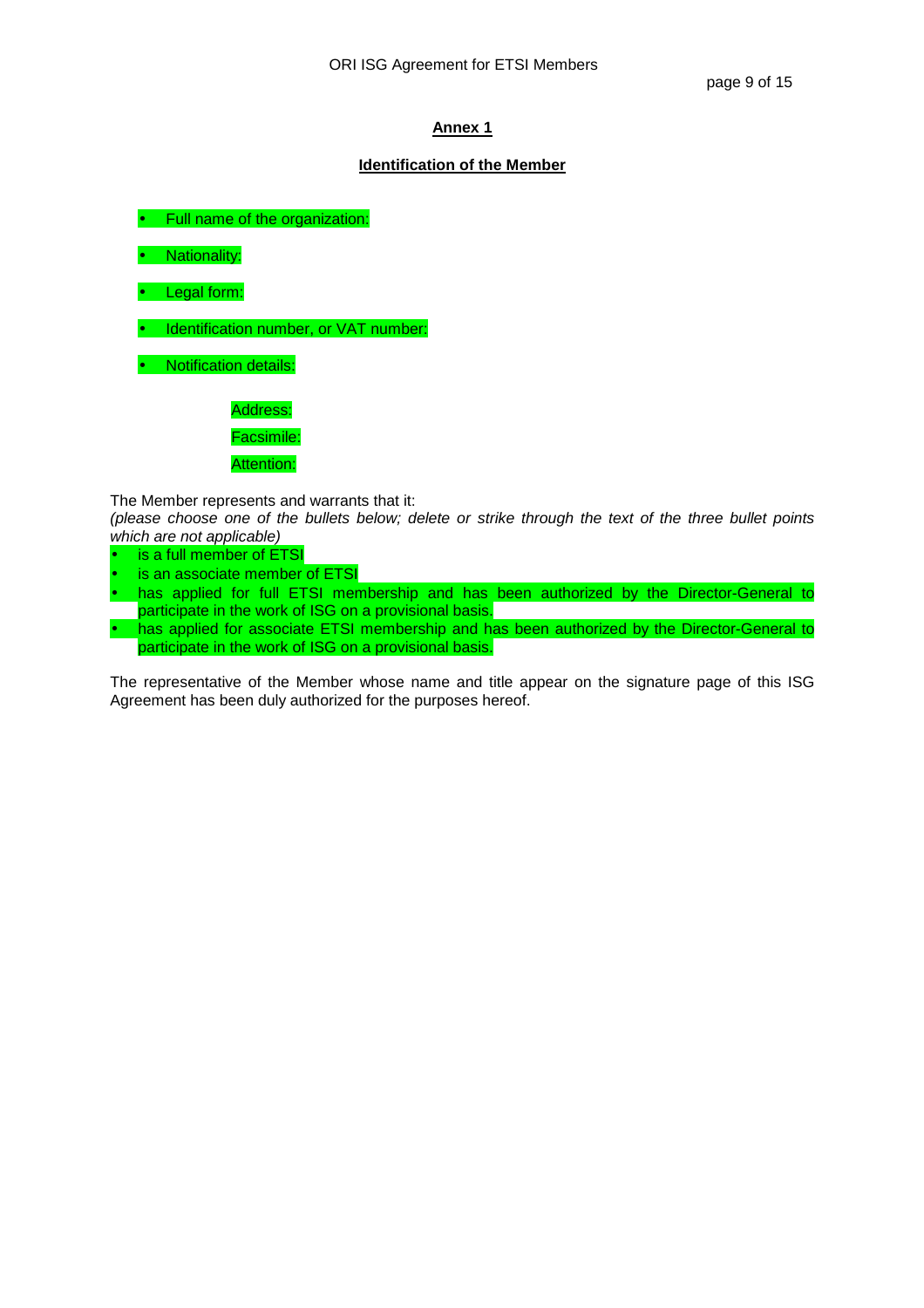## **Identification of the Member**

Full name of the organization:

• Nationality:

• Legal form:

• Identification number, or VAT number:

• Notification details:

Address:

Facsimile:

Attention:

The Member represents and warrants that it:

(please choose one of the bullets below; delete or strike through the text of the three bullet points which are not applicable)

- is a full member of ETSI
- is an associate member of ETSI
- has applied for full ETSI membership and has been authorized by the Director-General to participate in the work of ISG on a provisional basis.
- has applied for associate ETSI membership and has been authorized by the Director-General to participate in the work of ISG on a provisional basis.

The representative of the Member whose name and title appear on the signature page of this ISG Agreement has been duly authorized for the purposes hereof.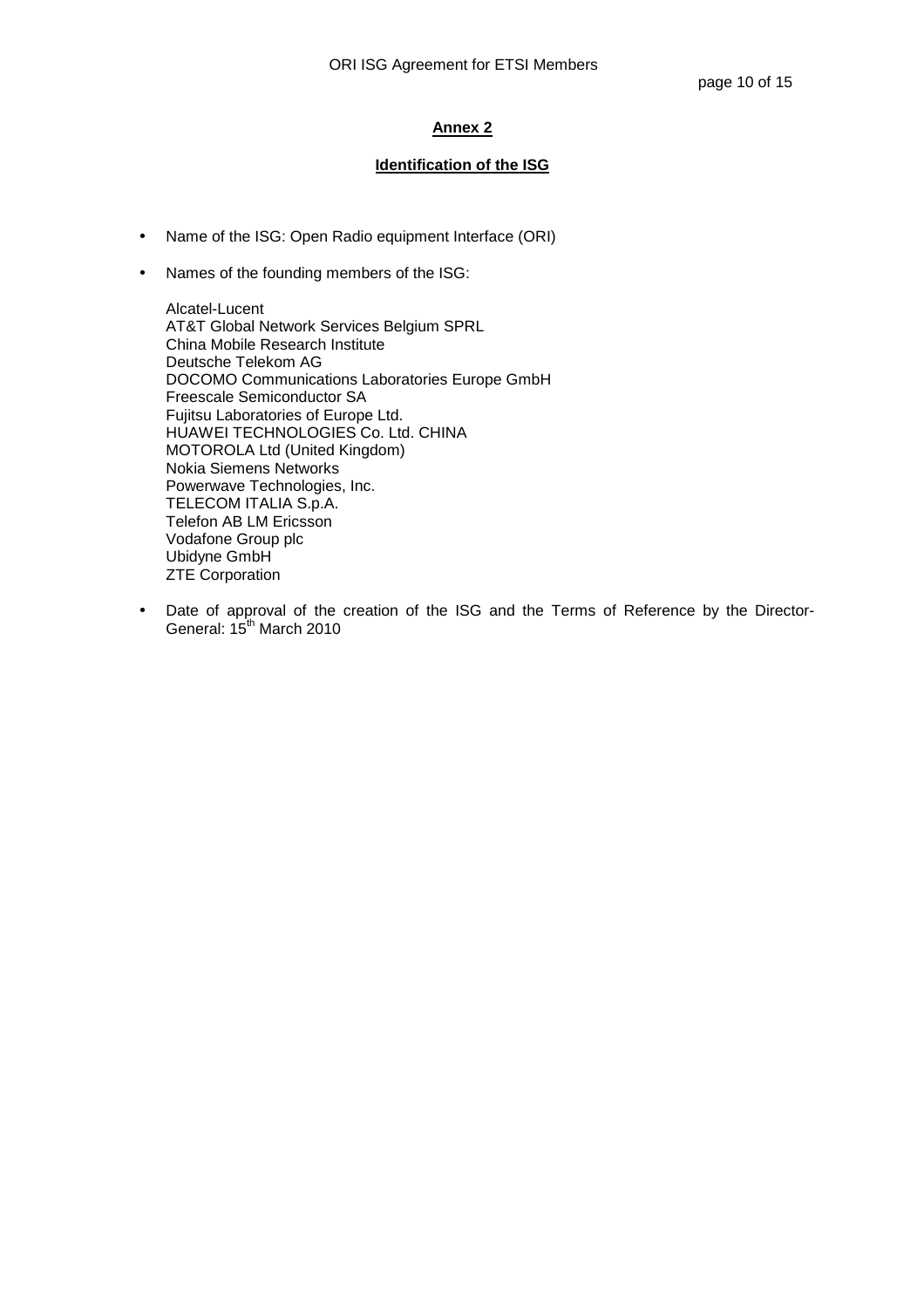## **Identification of the ISG**

- Name of the ISG: Open Radio equipment Interface (ORI)
- Names of the founding members of the ISG:

Alcatel-Lucent AT&T Global Network Services Belgium SPRL China Mobile Research Institute Deutsche Telekom AG DOCOMO Communications Laboratories Europe GmbH Freescale Semiconductor SA Fujitsu Laboratories of Europe Ltd. HUAWEI TECHNOLOGIES Co. Ltd. CHINA MOTOROLA Ltd (United Kingdom) Nokia Siemens Networks Powerwave Technologies, Inc. TELECOM ITALIA S.p.A. Telefon AB LM Ericsson Vodafone Group plc Ubidyne GmbH ZTE Corporation

• Date of approval of the creation of the ISG and the Terms of Reference by the Director-General: 15<sup>th</sup> March 2010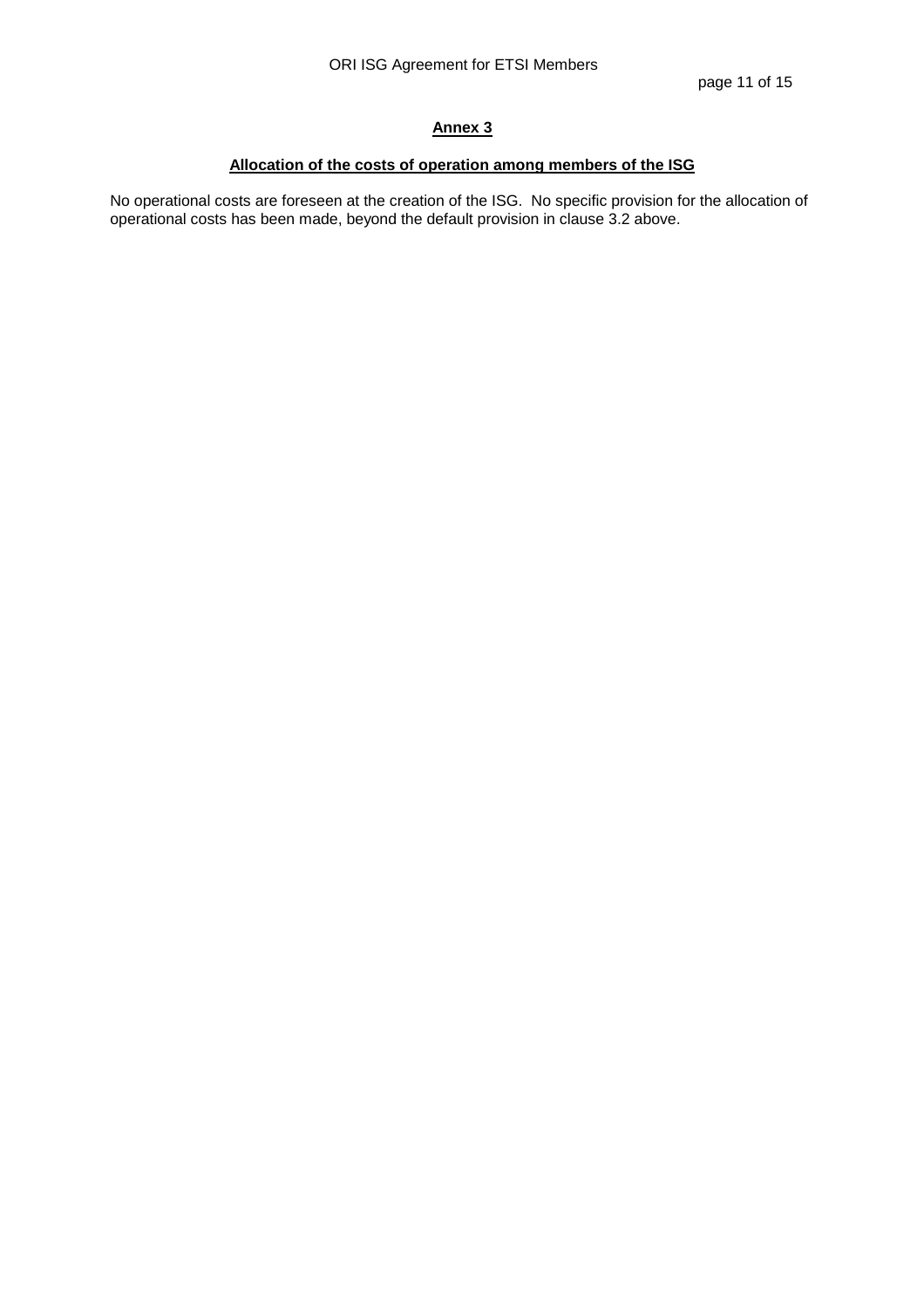# **Allocation of the costs of operation among members of the ISG**

No operational costs are foreseen at the creation of the ISG. No specific provision for the allocation of operational costs has been made, beyond the default provision in clause 3.2 above.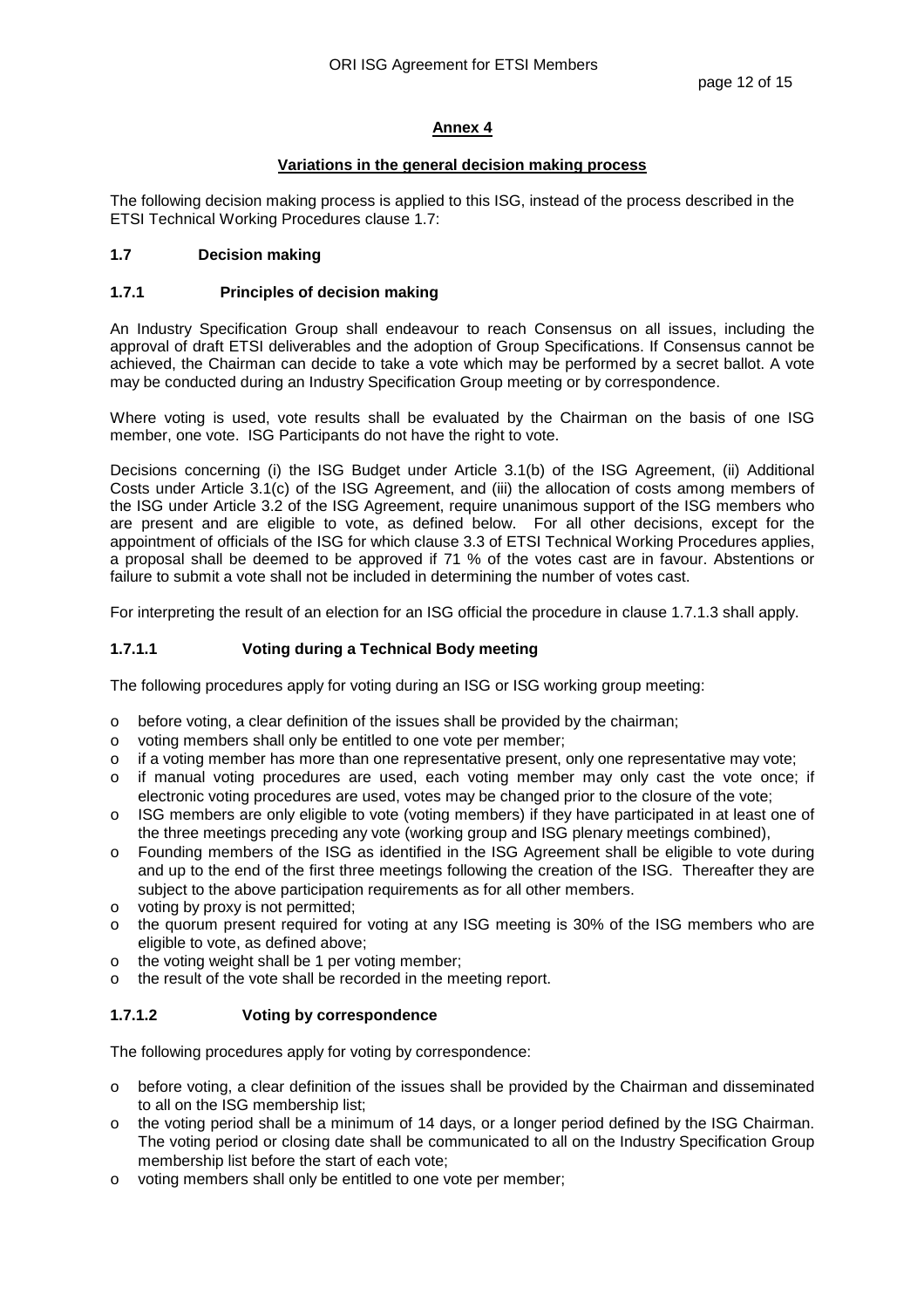## **Variations in the general decision making process**

The following decision making process is applied to this ISG, instead of the process described in the ETSI Technical Working Procedures clause 1.7:

## **1.7 Decision making**

## **1.7.1 Principles of decision making**

An Industry Specification Group shall endeavour to reach Consensus on all issues, including the approval of draft ETSI deliverables and the adoption of Group Specifications. If Consensus cannot be achieved, the Chairman can decide to take a vote which may be performed by a secret ballot. A vote may be conducted during an Industry Specification Group meeting or by correspondence.

Where voting is used, vote results shall be evaluated by the Chairman on the basis of one ISG member, one vote. ISG Participants do not have the right to vote.

Decisions concerning (i) the ISG Budget under Article 3.1(b) of the ISG Agreement, (ii) Additional Costs under Article 3.1(c) of the ISG Agreement, and (iii) the allocation of costs among members of the ISG under Article 3.2 of the ISG Agreement, require unanimous support of the ISG members who are present and are eligible to vote, as defined below. For all other decisions, except for the appointment of officials of the ISG for which clause 3.3 of ETSI Technical Working Procedures applies, a proposal shall be deemed to be approved if 71 % of the votes cast are in favour. Abstentions or failure to submit a vote shall not be included in determining the number of votes cast.

For interpreting the result of an election for an ISG official the procedure in clause 1.7.1.3 shall apply.

# **1.7.1.1 Voting during a Technical Body meeting**

The following procedures apply for voting during an ISG or ISG working group meeting:

- o before voting, a clear definition of the issues shall be provided by the chairman;
- o voting members shall only be entitled to one vote per member;
- $\circ$  if a voting member has more than one representative present, only one representative may vote;
- o if manual voting procedures are used, each voting member may only cast the vote once; if electronic voting procedures are used, votes may be changed prior to the closure of the vote;
- o ISG members are only eligible to vote (voting members) if they have participated in at least one of the three meetings preceding any vote (working group and ISG plenary meetings combined),
- o Founding members of the ISG as identified in the ISG Agreement shall be eligible to vote during and up to the end of the first three meetings following the creation of the ISG. Thereafter they are subject to the above participation requirements as for all other members.
- o voting by proxy is not permitted;
- o the quorum present required for voting at any ISG meeting is 30% of the ISG members who are eligible to vote, as defined above;
- o the voting weight shall be 1 per voting member;
- o the result of the vote shall be recorded in the meeting report.

# **1.7.1.2 Voting by correspondence**

The following procedures apply for voting by correspondence:

- o before voting, a clear definition of the issues shall be provided by the Chairman and disseminated to all on the ISG membership list;
- the voting period shall be a minimum of 14 days, or a longer period defined by the ISG Chairman. The voting period or closing date shall be communicated to all on the Industry Specification Group membership list before the start of each vote;
- o voting members shall only be entitled to one vote per member;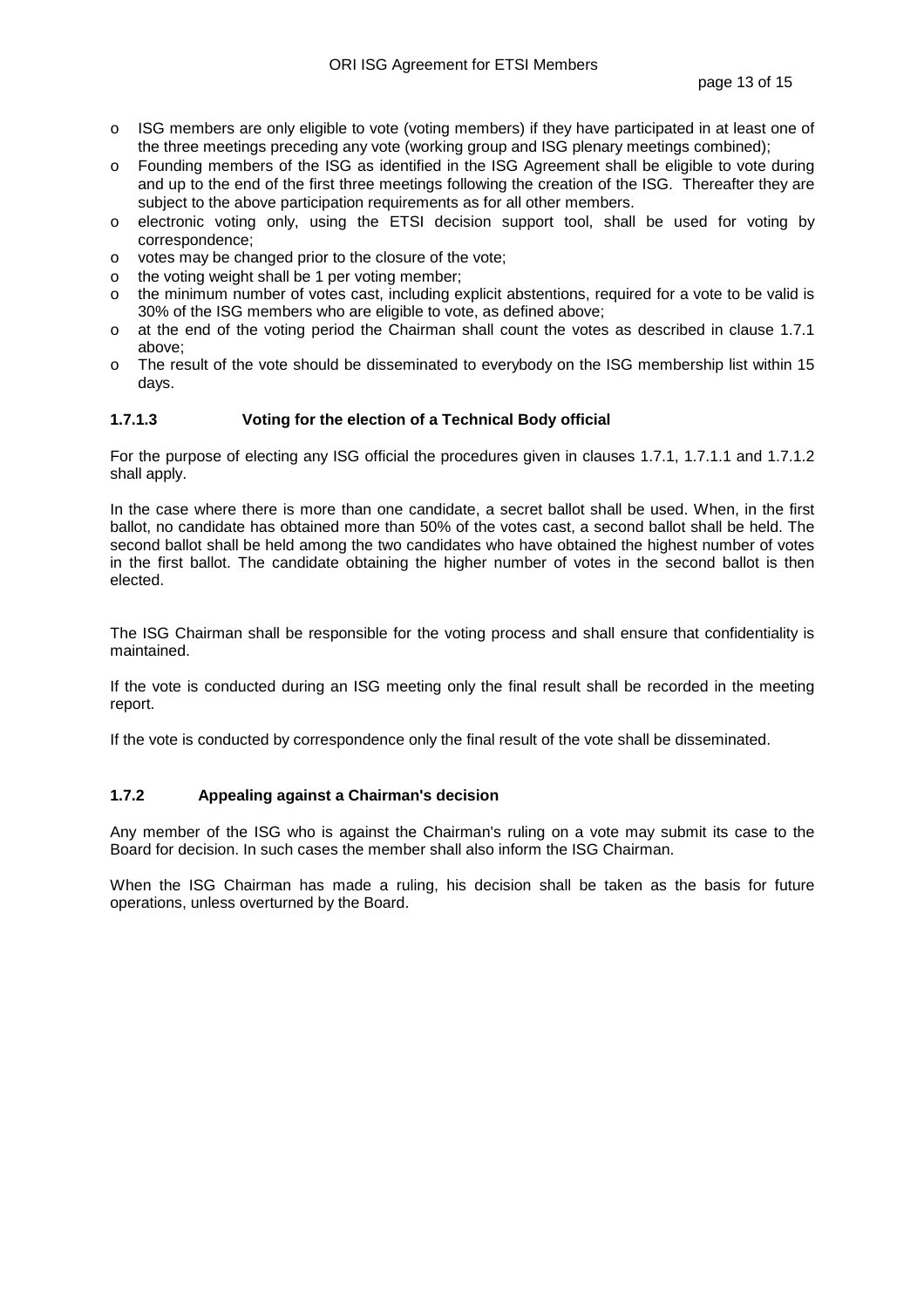- o ISG members are only eligible to vote (voting members) if they have participated in at least one of the three meetings preceding any vote (working group and ISG plenary meetings combined);
- o Founding members of the ISG as identified in the ISG Agreement shall be eligible to vote during and up to the end of the first three meetings following the creation of the ISG. Thereafter they are subject to the above participation requirements as for all other members.
- o electronic voting only, using the ETSI decision support tool, shall be used for voting by correspondence;
- o votes may be changed prior to the closure of the vote;
- o the voting weight shall be 1 per voting member;
- o the minimum number of votes cast, including explicit abstentions, required for a vote to be valid is 30% of the ISG members who are eligible to vote, as defined above;
- o at the end of the voting period the Chairman shall count the votes as described in clause 1.7.1 above;
- o The result of the vote should be disseminated to everybody on the ISG membership list within 15 days.

## **1.7.1.3 Voting for the election of a Technical Body official**

For the purpose of electing any ISG official the procedures given in clauses 1.7.1, 1.7.1.1 and 1.7.1.2 shall apply.

In the case where there is more than one candidate, a secret ballot shall be used. When, in the first ballot, no candidate has obtained more than 50% of the votes cast, a second ballot shall be held. The second ballot shall be held among the two candidates who have obtained the highest number of votes in the first ballot. The candidate obtaining the higher number of votes in the second ballot is then elected.

The ISG Chairman shall be responsible for the voting process and shall ensure that confidentiality is maintained.

If the vote is conducted during an ISG meeting only the final result shall be recorded in the meeting report.

If the vote is conducted by correspondence only the final result of the vote shall be disseminated.

# **1.7.2 Appealing against a Chairman's decision**

Any member of the ISG who is against the Chairman's ruling on a vote may submit its case to the Board for decision. In such cases the member shall also inform the ISG Chairman.

When the ISG Chairman has made a ruling, his decision shall be taken as the basis for future operations, unless overturned by the Board.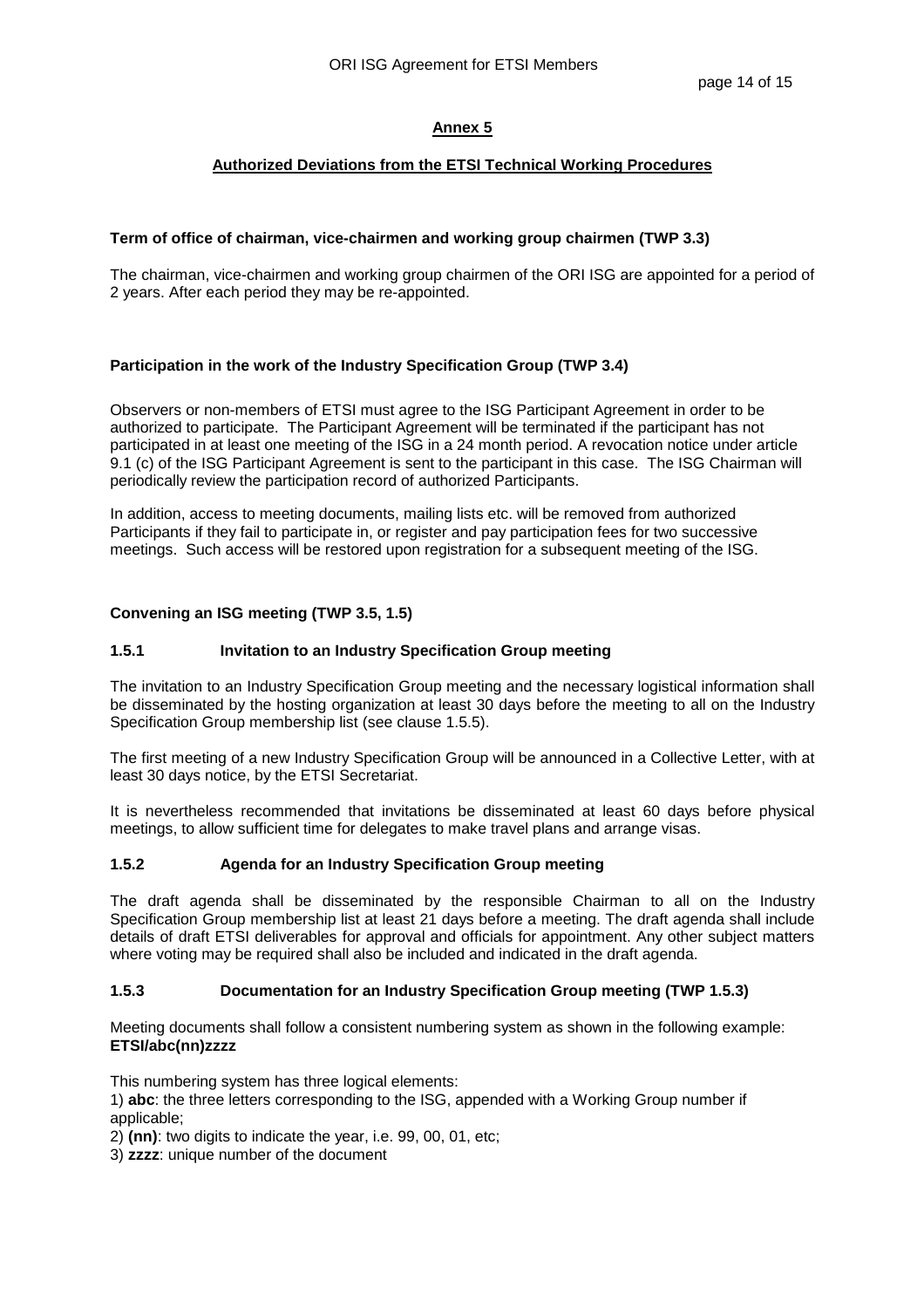### **Authorized Deviations from the ETSI Technical Working Procedures**

#### **Term of office of chairman, vice-chairmen and working group chairmen (TWP 3.3)**

The chairman, vice-chairmen and working group chairmen of the ORI ISG are appointed for a period of 2 years. After each period they may be re-appointed.

## **Participation in the work of the Industry Specification Group (TWP 3.4)**

Observers or non-members of ETSI must agree to the ISG Participant Agreement in order to be authorized to participate. The Participant Agreement will be terminated if the participant has not participated in at least one meeting of the ISG in a 24 month period. A revocation notice under article 9.1 (c) of the ISG Participant Agreement is sent to the participant in this case. The ISG Chairman will periodically review the participation record of authorized Participants.

In addition, access to meeting documents, mailing lists etc. will be removed from authorized Participants if they fail to participate in, or register and pay participation fees for two successive meetings. Such access will be restored upon registration for a subsequent meeting of the ISG.

#### **Convening an ISG meeting (TWP 3.5, 1.5)**

### **1.5.1 Invitation to an Industry Specification Group meeting**

The invitation to an Industry Specification Group meeting and the necessary logistical information shall be disseminated by the hosting organization at least 30 days before the meeting to all on the Industry Specification Group membership list (see clause 1.5.5).

The first meeting of a new Industry Specification Group will be announced in a Collective Letter, with at least 30 days notice, by the ETSI Secretariat.

It is nevertheless recommended that invitations be disseminated at least 60 days before physical meetings, to allow sufficient time for delegates to make travel plans and arrange visas.

#### **1.5.2 Agenda for an Industry Specification Group meeting**

The draft agenda shall be disseminated by the responsible Chairman to all on the Industry Specification Group membership list at least 21 days before a meeting. The draft agenda shall include details of draft ETSI deliverables for approval and officials for appointment. Any other subject matters where voting may be required shall also be included and indicated in the draft agenda.

#### **1.5.3 Documentation for an Industry Specification Group meeting (TWP 1.5.3)**

Meeting documents shall follow a consistent numbering system as shown in the following example: **ETSI/abc(nn)zzzz** 

This numbering system has three logical elements:

1) **abc**: the three letters corresponding to the ISG, appended with a Working Group number if applicable;

2) **(nn)**: two digits to indicate the year, i.e. 99, 00, 01, etc;

3) **zzzz**: unique number of the document